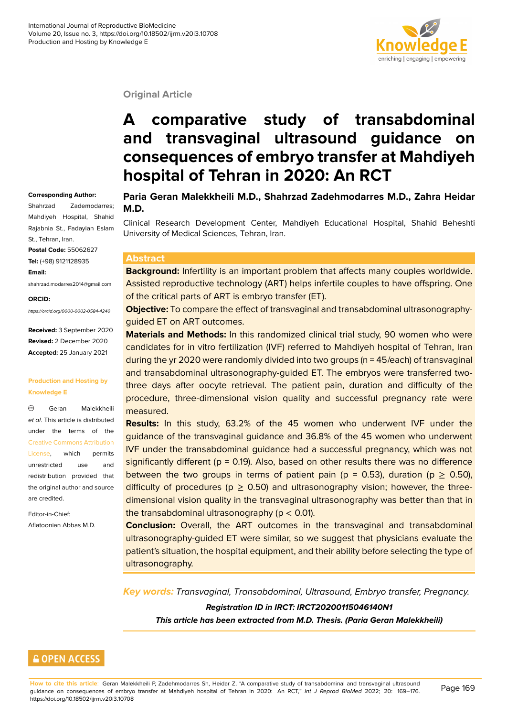

#### **Original Article**

# **A comparative study of transabdominal and transvaginal ultrasound guidance on consequences of embryo transfer at Mahdiyeh hospital of Tehran in 2020: An RCT**

#### **Corresponding Author:**

Shahrzad Zademodarres; Mahdiyeh Hospital, Shahid Rajabnia St., Fadayian Eslam St., Tehran, Iran. **Postal Code:** 55062627 **Tel:** (+98) 9121128935 **Email:**

shahrzad.modarres2014@gmail.com

#### **ORCID:**

*https://orcid.org/0000-0002-0584-4240*

**Received:** 3 September 2020 **Revised:** 2 December 2020 **Accepted:** 25 January 2021

#### **Production and Hosting by Knowledge E**

 $\odot$ Geran Malekkheili *et al*. This article is distributed under the terms of the Creative Commons Attribution License, which permits unrestricted use and redistribution provided that [the original author and source](https://creativecommons.org/licenses/by/4.0/) [are cred](https://creativecommons.org/licenses/by/4.0/)ited.

Editor-in-Chief: Aflatoonian Abbas M.D.

#### **Paria Geran Malekkheili M.D., Shahrzad Zadehmodarres M.D., Zahra Heidar M.D.**

Clinical Research Development Center, Mahdiyeh Educational Hospital, Shahid Beheshti University of Medical Sciences, Tehran, Iran.

#### **Abstract**

**Background:** Infertility is an important problem that affects many couples worldwide. Assisted reproductive technology (ART) helps infertile couples to have offspring. One of the critical parts of ART is embryo transfer (ET).

**Objective:** To compare the effect of transvaginal and transabdominal ultrasonographyguided ET on ART outcomes.

**Materials and Methods:** In this randomized clinical trial study, 90 women who were candidates for in vitro fertilization (IVF) referred to Mahdiyeh hospital of Tehran, Iran during the yr 2020 were randomly divided into two groups (n = 45/each) of transvaginal and transabdominal ultrasonography-guided ET. The embryos were transferred twothree days after oocyte retrieval. The patient pain, duration and difficulty of the procedure, three-dimensional vision quality and successful pregnancy rate were measured.

**Results:** In this study, 63.2% of the 45 women who underwent IVF under the guidance of the transvaginal guidance and 36.8% of the 45 women who underwent IVF under the transabdominal guidance had a successful pregnancy, which was not significantly different ( $p = 0.19$ ). Also, based on other results there was no difference between the two groups in terms of patient pain ( $p = 0.53$ ), duration ( $p > 0.50$ ), difficulty of procedures ( $p \ge 0.50$ ) and ultrasonography vision; however, the threedimensional vision quality in the transvaginal ultrasonography was better than that in the transabdominal ultrasonography ( $p < 0.01$ ).

**Conclusion:** Overall, the ART outcomes in the transvaginal and transabdominal ultrasonography-guided ET were similar, so we suggest that physicians evaluate the patient's situation, the hospital equipment, and their ability before selecting the type of ultrasonography.

*Key words: Transvaginal, Transabdominal, Ultrasound, Embryo transfer, Pregnancy. Registration ID in IRCT: IRCT20200115046140N1 This article has been extracted from M.D. Thesis. (Paria Geran Malekkheili)*

### **GOPEN ACCESS**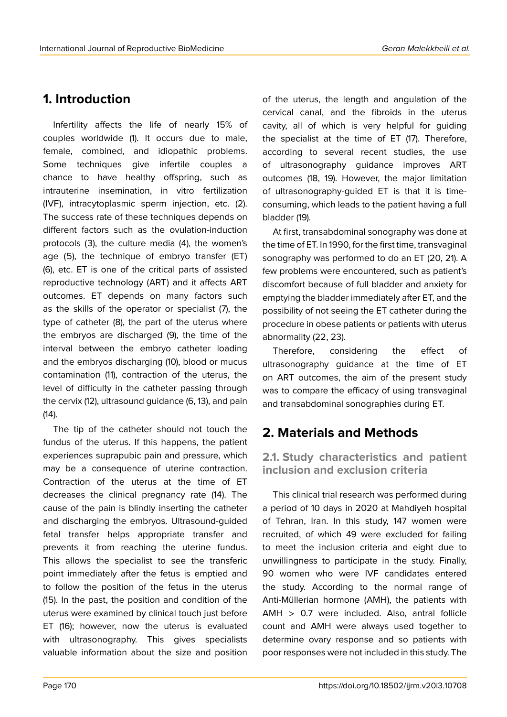## **1. Introduction**

Infertility affects the life of nearly 15% of couples worldwide (1). It occurs due to male, female, combined, and idiopathic problems. Some techniques give infertile couples a chance to have healthy offspring, such as intrauterine insemination, in vitro fertilization (IVF), intracytoplasmic sperm injection, etc. (2). The success rate of these techniques depends on different factors such as the ovulation-induction protocols (3), the culture media (4), the women's age (5), the technique of embryo transfer (ET) (6), etc. ET is one of the critical parts of assisted reproductive technology (ART) and it affects ART outcomes. ET depends on many factors such as the skills of the operator or specialist (7), the type of catheter (8), the part of the uterus where the embryos are discharged (9), the time of the interval between the embryo catheter loading and the embryos discharging (10), blood or mucus contamination (11), contraction of the uterus, the level of difficulty in the catheter passing through the cervix (12), ultrasound guidance (6, 13), and pain (14).

The tip of the catheter should not touch the fundus of the uterus. If this happens, the patient experiences suprapubic pain and pressure, which may be a consequence of uterine contraction. Contraction of the uterus at the time of ET decreases the clinical pregnancy rate (14). The cause of the pain is blindly inserting the catheter and discharging the embryos. Ultrasound-guided fetal transfer helps appropriate transfer and prevents it from reaching the uterine fundus. This allows the specialist to see the transferic point immediately after the fetus is emptied and to follow the position of the fetus in the uterus (15). In the past, the position and condition of the uterus were examined by clinical touch just before ET (16); however, now the uterus is evaluated with ultrasonography. This gives specialists valuable information about the size and position

of the uterus, the length and angulation of the cervical canal, and the fibroids in the uterus cavity, all of which is very helpful for guiding the specialist at the time of ET (17). Therefore, according to several recent studies, the use of ultrasonography guidance improves ART outcomes (18, 19). However, the major limitation of ultrasonography-guided ET is that it is timeconsuming, which leads to the patient having a full bladder (19).

At first, transabdominal sonography was done at the time of ET. In 1990, for the first time, transvaginal sonography was performed to do an ET (20, 21). A few problems were encountered, such as patient's discomfort because of full bladder and anxiety for emptying the bladder immediately after ET, and the possibility of not seeing the ET catheter during the procedure in obese patients or patients with uterus abnormality (22, 23).

Therefore, considering the effect of ultrasonography guidance at the time of ET on ART outcomes, the aim of the present study was to compare the efficacy of using transvaginal and transabdominal sonographies during ET.

## **2. Materials and Methods**

**2.1. Study characteristics and patient inclusion and exclusion criteria**

This clinical trial research was performed during a period of 10 days in 2020 at Mahdiyeh hospital of Tehran, Iran. In this study, 147 women were recruited, of which 49 were excluded for failing to meet the inclusion criteria and eight due to unwillingness to participate in the study. Finally, 90 women who were IVF candidates entered the study. According to the normal range of Anti-Müllerian hormone (AMH), the patients with AMH > 0.7 were included. Also, antral follicle count and AMH were always used together to determine ovary response and so patients with poor responses were not included in this study. The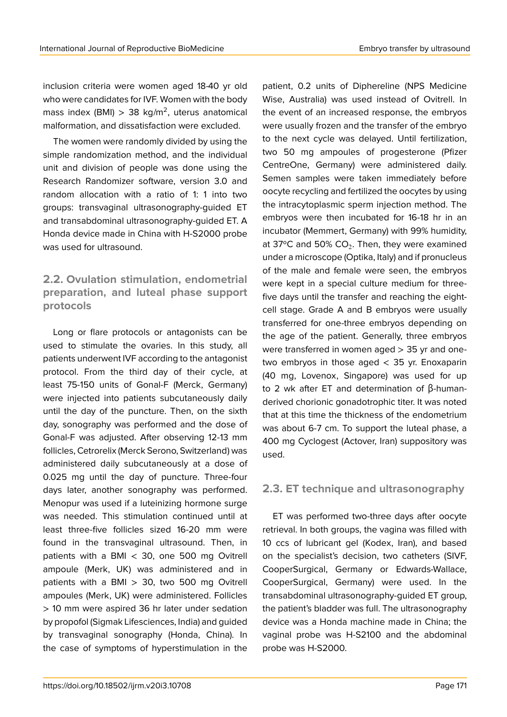inclusion criteria were women aged 18-40 yr old who were candidates for IVF. Women with the body mass index (BMI)  $> 38$  kg/m<sup>2</sup>, uterus anatomical malformation, and dissatisfaction were excluded.

The women were randomly divided by using the simple randomization method, and the individual unit and division of people was done using the Research Randomizer software, version 3.0 and random allocation with a ratio of 1: 1 into two groups: transvaginal ultrasonography-guided ET and transabdominal ultrasonography-guided ET. A Honda device made in China with H-S2000 probe was used for ultrasound.

### **2.2. Ovulation stimulation, endometrial preparation, and luteal phase support protocols**

Long or flare protocols or antagonists can be used to stimulate the ovaries. In this study, all patients underwent IVF according to the antagonist protocol. From the third day of their cycle, at least 75-150 units of Gonal-F (Merck, Germany) were injected into patients subcutaneously daily until the day of the puncture. Then, on the sixth day, sonography was performed and the dose of Gonal-F was adjusted. After observing 12-13 mm follicles, Cetrorelix (Merck Serono, Switzerland) was administered daily subcutaneously at a dose of 0.025 mg until the day of puncture. Three-four days later, another sonography was performed. Menopur was used if a luteinizing hormone surge was needed. This stimulation continued until at least three-five follicles sized 16-20 mm were found in the transvaginal ultrasound. Then, in patients with a BMI < 30, one 500 mg Ovitrell ampoule (Merk, UK) was administered and in patients with a BMI > 30, two 500 mg Ovitrell ampoules (Merk, UK) were administered. Follicles > 10 mm were aspired 36 hr later under sedation by propofol (Sigmak Lifesciences, India) and guided by transvaginal sonography (Honda, China). In the case of symptoms of hyperstimulation in the

patient, 0.2 units of Diphereline (NPS Medicine Wise, Australia) was used instead of Ovitrell. In the event of an increased response, the embryos were usually frozen and the transfer of the embryo to the next cycle was delayed. Until fertilization, two 50 mg ampoules of progesterone (Pfizer CentreOne, Germany) were administered daily. Semen samples were taken immediately before oocyte recycling and fertilized the oocytes by using the intracytoplasmic sperm injection method. The embryos were then incubated for 16-18 hr in an incubator (Memmert, Germany) with 99% humidity, at 37°C and 50% CO<sub>2</sub>. Then, they were examined under a microscope (Optika, Italy) and if pronucleus of the male and female were seen, the embryos were kept in a special culture medium for threefive days until the transfer and reaching the eightcell stage. Grade A and B embryos were usually transferred for one-three embryos depending on the age of the patient. Generally, three embryos were transferred in women aged > 35 yr and onetwo embryos in those aged < 35 yr. Enoxaparin (40 mg, Lovenox, Singapore) was used for up to 2 wk after ET and determination of β-humanderived chorionic gonadotrophic titer. It was noted that at this time the thickness of the endometrium was about 6-7 cm. To support the luteal phase, a 400 mg Cyclogest (Actover, Iran) suppository was used.

### **2.3. ET technique and ultrasonography**

ET was performed two-three days after oocyte retrieval. In both groups, the vagina was filled with 10 ccs of lubricant gel (Kodex, Iran), and based on the specialist's decision, two catheters (SIVF, CooperSurgical, Germany or Edwards-Wallace, CooperSurgical, Germany) were used. In the transabdominal ultrasonography-guided ET group, the patient's bladder was full. The ultrasonography device was a Honda machine made in China; the vaginal probe was H-S2100 and the abdominal probe was H-S2000.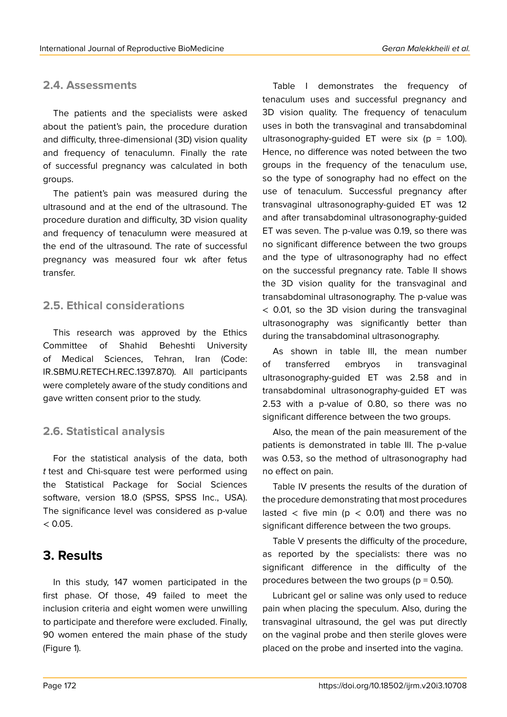### **2.4. Assessments**

The patients and the specialists were asked about the patient's pain, the procedure duration and difficulty, three-dimensional (3D) vision quality and frequency of tenaculumn. Finally the rate of successful pregnancy was calculated in both groups.

The patient's pain was measured during the ultrasound and at the end of the ultrasound. The procedure duration and difficulty, 3D vision quality and frequency of tenaculumn were measured at the end of the ultrasound. The rate of successful pregnancy was measured four wk after fetus transfer.

### **2.5. Ethical considerations**

This research was approved by the Ethics Committee of Shahid Beheshti University of Medical Sciences, Tehran, Iran (Code: IR.SBMU.RETECH.REC.1397.870). All participants were completely aware of the study conditions and gave written consent prior to the study.

### **2.6. Statistical analysis**

For the statistical analysis of the data, both *t* test and Chi-square test were performed using the Statistical Package for Social Sciences software, version 18.0 (SPSS, SPSS Inc., USA). The significance level was considered as p-value  $< 0.05.$ 

## **3. Results**

In this study, 147 women participated in the first phase. Of those, 49 failed to meet the inclusion criteria and eight women were unwilling to participate and therefore were excluded. Finally, 90 women entered the main phase of the study (Figure 1).

Table I demonstrates the frequency of tenaculum uses and successful pregnancy and 3D vision quality. The frequency of tenaculum uses in both the transvaginal and transabdominal ultrasonography-guided ET were six ( $p = 1.00$ ). Hence, no difference was noted between the two groups in the frequency of the tenaculum use, so the type of sonography had no effect on the use of tenaculum. Successful pregnancy after transvaginal ultrasonography-guided ET was 12 and after transabdominal ultrasonography-guided ET was seven. The p-value was 0.19, so there was no significant difference between the two groups and the type of ultrasonography had no effect on the successful pregnancy rate. Table II shows the 3D vision quality for the transvaginal and transabdominal ultrasonography. The p-value was < 0.01, so the 3D vision during the transvaginal ultrasonography was significantly better than during the transabdominal ultrasonography.

As shown in table III, the mean number of transferred embryos in transvaginal ultrasonography-guided ET was 2.58 and in transabdominal ultrasonography-guided ET was 2.53 with a p-value of 0.80, so there was no significant difference between the two groups.

Also, the mean of the pain measurement of the patients is demonstrated in table III. The p-value was 0.53, so the method of ultrasonography had no effect on pain.

Table IV presents the results of the duration of the procedure demonstrating that most procedures lasted  $\langle$  five min (p  $\langle$  0.01) and there was no significant difference between the two groups.

Table V presents the difficulty of the procedure, as reported by the specialists: there was no significant difference in the difficulty of the procedures between the two groups ( $p = 0.50$ ).

Lubricant gel or saline was only used to reduce pain when placing the speculum. Also, during the transvaginal ultrasound, the gel was put directly on the vaginal probe and then sterile gloves were placed on the probe and inserted into the vagina.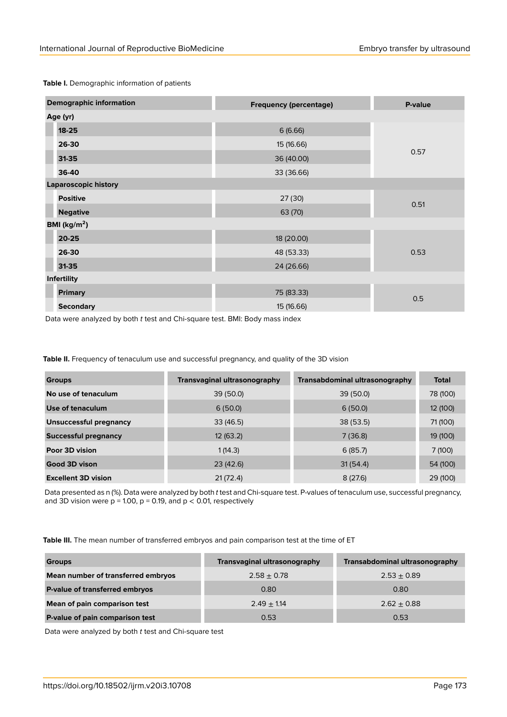**Table I.** Demographic information of patients

| <b>Demographic information</b> | <b>Frequency (percentage)</b> | P-value |  |
|--------------------------------|-------------------------------|---------|--|
| Age (yr)                       |                               |         |  |
| $18 - 25$                      | 6(6.66)                       |         |  |
| 26-30                          | 15 (16.66)                    |         |  |
| 31-35                          | 36 (40.00)                    | 0.57    |  |
| 36-40                          | 33 (36.66)                    |         |  |
| <b>Laparoscopic history</b>    |                               |         |  |
| <b>Positive</b>                | 27(30)                        | 0.51    |  |
| <b>Negative</b>                | 63 (70)                       |         |  |
| BMI ( $kg/m2$ )                |                               |         |  |
| 20-25                          | 18 (20.00)                    |         |  |
| 26-30                          | 48 (53.33)                    | 0.53    |  |
| $31 - 35$                      | 24 (26.66)                    |         |  |
| Infertility                    |                               |         |  |
| <b>Primary</b>                 | 75 (83.33)                    | 0.5     |  |
| <b>Secondary</b>               | 15 (16.66)                    |         |  |

Data were analyzed by both *t* test and Chi-square test. BMI: Body mass index

**Table II.** Frequency of tenaculum use and successful pregnancy, and quality of the 3D vision

| <b>Groups</b>                 | <b>Transvaginal ultrasonography</b> | Transabdominal ultrasonography | <b>Total</b> |
|-------------------------------|-------------------------------------|--------------------------------|--------------|
| No use of tenaculum           | 39(50.0)                            | 39(50.0)                       | 78 (100)     |
| Use of tenaculum              | 6(50.0)                             | 6(50.0)                        | 12 (100)     |
| <b>Unsuccessful pregnancy</b> | 33(46.5)                            | 38(53.5)                       | 71 (100)     |
| <b>Successful pregnancy</b>   | 12(63.2)                            | 7(36.8)                        | 19 (100)     |
| Poor 3D vision                | 1(14.3)                             | 6(85.7)                        | 7(100)       |
| Good 3D vison                 | 23(42.6)                            | 31(54.4)                       | 54 (100)     |
| <b>Excellent 3D vision</b>    | 21(72.4)                            | 8(27.6)                        | 29 (100)     |

Data presented as n (%). Data were analyzed by both *t* test and Chi-square test. P-values of tenaculum use, successful pregnancy, and 3D vision were  $p = 1.00$ ,  $p = 0.19$ , and  $p < 0.01$ , respectively

**Table III.** The mean number of transferred embryos and pain comparison test at the time of ET

| <b>Groups</b>                      | Transvaginal ultrasonography | Transabdominal ultrasonography |
|------------------------------------|------------------------------|--------------------------------|
| Mean number of transferred embryos | $2.58 \pm 0.78$              | $2.53 \pm 0.89$                |
| P-value of transferred embryos     | 0.80                         | 0.80                           |
| Mean of pain comparison test       | $2.49 \pm 1.14$              | $2.62 \pm 0.88$                |
| P-value of pain comparison test    | 0.53                         | 0.53                           |

Data were analyzed by both *t* test and Chi-square test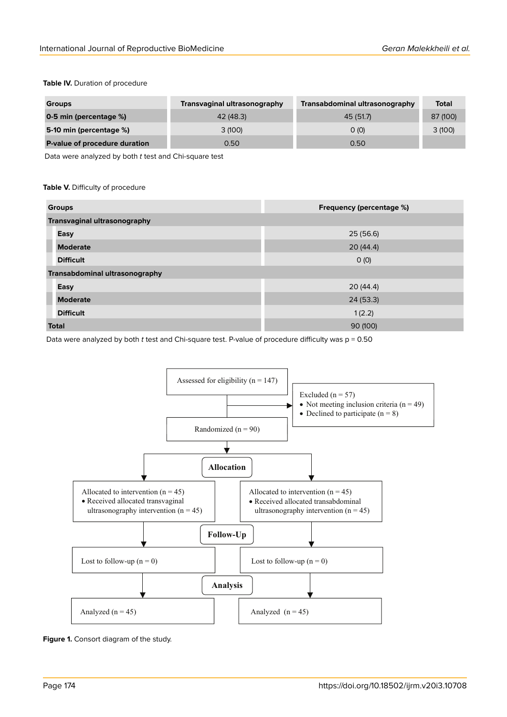#### **Table IV.** Duration of procedure

| <b>Groups</b>                 | Transvaginal ultrasonography | Transabdominal ultrasonography | <b>Total</b> |
|-------------------------------|------------------------------|--------------------------------|--------------|
| 0-5 min (percentage %)        | 42 (48.3)                    | 45 (51.7)                      | 87 (100)     |
| 5-10 min (percentage %)       | 3 (100)                      | O(0)                           | 3(100)       |
| P-value of procedure duration | 0.50                         | 0.50                           |              |

Data were analyzed by both *t* test and Chi-square test

#### **Table V.** Difficulty of procedure

| <b>Groups</b>                       | <b>Frequency (percentage %)</b> |  |
|-------------------------------------|---------------------------------|--|
| <b>Transvaginal ultrasonography</b> |                                 |  |
| Easy                                | 25(56.6)                        |  |
| <b>Moderate</b>                     | 20(44.4)                        |  |
| <b>Difficult</b>                    | O(0)                            |  |
| Transabdominal ultrasonography      |                                 |  |
| Easy                                | 20(44.4)                        |  |
| <b>Moderate</b>                     | 24(53.3)                        |  |
| <b>Difficult</b>                    | 1(2.2)                          |  |
| <b>Total</b>                        | 90 (100)                        |  |

Data were analyzed by both *t* test and Chi-square test. P-value of procedure difficulty was p = 0.50



**Figure 1.** Consort diagram of the study.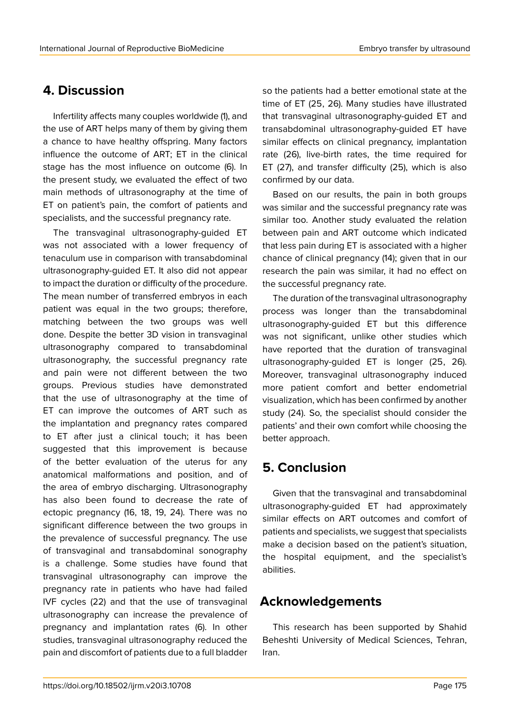## **4. Discussion**

Infertility affects many couples worldwide (1), and the use of ART helps many of them by giving them a chance to have healthy offspring. Many factors influence the outcome of ART; ET in the clinical stage has the most influence on outcome (6). In the present study, we evaluated the effect of two main methods of ultrasonography at the time of ET on patient's pain, the comfort of patients and specialists, and the successful pregnancy rate.

The transvaginal ultrasonography-guided ET was not associated with a lower frequency of tenaculum use in comparison with transabdominal ultrasonography-guided ET. It also did not appear to impact the duration or difficulty of the procedure. The mean number of transferred embryos in each patient was equal in the two groups; therefore, matching between the two groups was well done. Despite the better 3D vision in transvaginal ultrasonography compared to transabdominal ultrasonography, the successful pregnancy rate and pain were not different between the two groups. Previous studies have demonstrated that the use of ultrasonography at the time of ET can improve the outcomes of ART such as the implantation and pregnancy rates compared to ET after just a clinical touch; it has been suggested that this improvement is because of the better evaluation of the uterus for any anatomical malformations and position, and of the area of embryo discharging. Ultrasonography has also been found to decrease the rate of ectopic pregnancy (16, 18, 19, 24). There was no significant difference between the two groups in the prevalence of successful pregnancy. The use of transvaginal and transabdominal sonography is a challenge. Some studies have found that transvaginal ultrasonography can improve the pregnancy rate in patients who have had failed IVF cycles (22) and that the use of transvaginal ultrasonography can increase the prevalence of pregnancy and implantation rates (6). In other studies, transvaginal ultrasonography reduced the pain and discomfort of patients due to a full bladder

so the patients had a better emotional state at the time of ET (25, 26). Many studies have illustrated that transvaginal ultrasonography-guided ET and transabdominal ultrasonography-guided ET have similar effects on clinical pregnancy, implantation rate (26), live-birth rates, the time required for ET (27), and transfer difficulty (25), which is also confirmed by our data.

Based on our results, the pain in both groups was similar and the successful pregnancy rate was similar too. Another study evaluated the relation between pain and ART outcome which indicated that less pain during ET is associated with a higher chance of clinical pregnancy (14); given that in our research the pain was similar, it had no effect on the successful pregnancy rate.

The duration of the transvaginal ultrasonography process was longer than the transabdominal ultrasonography-guided ET but this difference was not significant, unlike other studies which have reported that the duration of transvaginal ultrasonography-guided ET is longer (25, 26). Moreover, transvaginal ultrasonography induced more patient comfort and better endometrial visualization, which has been confirmed by another study (24). So, the specialist should consider the patients' and their own comfort while choosing the better approach.

## **5. Conclusion**

Given that the transvaginal and transabdominal ultrasonography-guided ET had approximately similar effects on ART outcomes and comfort of patients and specialists, we suggest that specialists make a decision based on the patient's situation, the hospital equipment, and the specialist's abilities.

### **Acknowledgements**

This research has been supported by Shahid Beheshti University of Medical Sciences, Tehran, Iran.